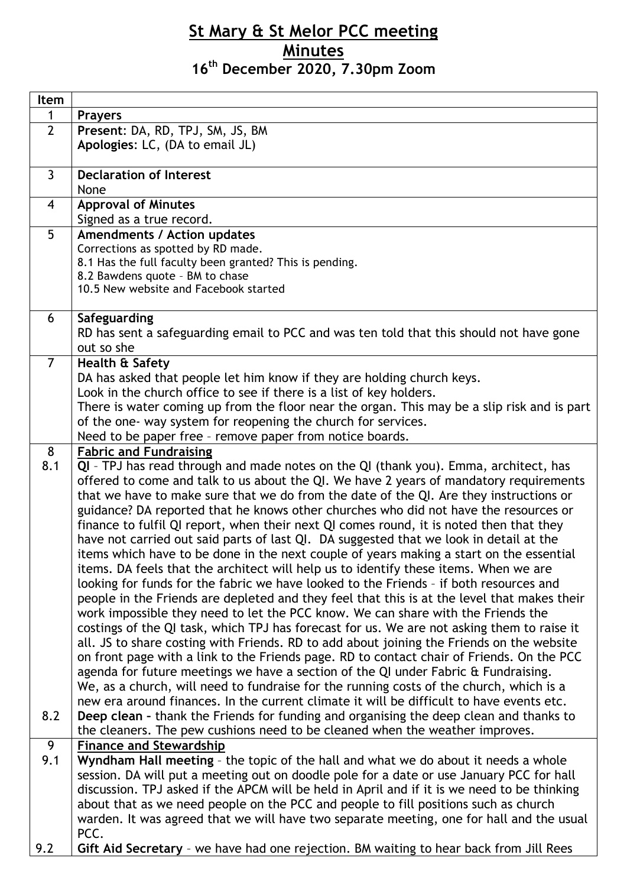## **St Mary & St Melor PCC meeting Minutes 16th December 2020, 7.30pm Zoom**

| Item           |                                                                                                                                                                                 |
|----------------|---------------------------------------------------------------------------------------------------------------------------------------------------------------------------------|
| $\mathbf 1$    | <b>Prayers</b>                                                                                                                                                                  |
| $\overline{2}$ | Present: DA, RD, TPJ, SM, JS, BM                                                                                                                                                |
|                | Apologies: LC, (DA to email JL)                                                                                                                                                 |
|                |                                                                                                                                                                                 |
| $\overline{3}$ | <b>Declaration of Interest</b>                                                                                                                                                  |
|                | None                                                                                                                                                                            |
| $\overline{4}$ | <b>Approval of Minutes</b>                                                                                                                                                      |
|                | Signed as a true record.                                                                                                                                                        |
| 5              | <b>Amendments / Action updates</b>                                                                                                                                              |
|                | Corrections as spotted by RD made.                                                                                                                                              |
|                | 8.1 Has the full faculty been granted? This is pending.<br>8.2 Bawdens quote - BM to chase                                                                                      |
|                | 10.5 New website and Facebook started                                                                                                                                           |
|                |                                                                                                                                                                                 |
| 6              | Safeguarding                                                                                                                                                                    |
|                | RD has sent a safeguarding email to PCC and was ten told that this should not have gone                                                                                         |
|                | out so she                                                                                                                                                                      |
| $\overline{7}$ | Health & Safety                                                                                                                                                                 |
|                | DA has asked that people let him know if they are holding church keys.                                                                                                          |
|                | Look in the church office to see if there is a list of key holders.                                                                                                             |
|                | There is water coming up from the floor near the organ. This may be a slip risk and is part                                                                                     |
|                | of the one- way system for reopening the church for services.                                                                                                                   |
|                | Need to be paper free - remove paper from notice boards.                                                                                                                        |
| 8              | <b>Fabric and Fundraising</b>                                                                                                                                                   |
| 8.1            | QI - TPJ has read through and made notes on the QI (thank you). Emma, architect, has                                                                                            |
|                | offered to come and talk to us about the QI. We have 2 years of mandatory requirements                                                                                          |
|                | that we have to make sure that we do from the date of the QI. Are they instructions or                                                                                          |
|                | guidance? DA reported that he knows other churches who did not have the resources or<br>finance to fulfil QI report, when their next QI comes round, it is noted then that they |
|                | have not carried out said parts of last QI. DA suggested that we look in detail at the                                                                                          |
|                | items which have to be done in the next couple of years making a start on the essential                                                                                         |
|                | items. DA feels that the architect will help us to identify these items. When we are                                                                                            |
|                | looking for funds for the fabric we have looked to the Friends - if both resources and                                                                                          |
|                | people in the Friends are depleted and they feel that this is at the level that makes their                                                                                     |
|                | work impossible they need to let the PCC know. We can share with the Friends the                                                                                                |
|                | costings of the QI task, which TPJ has forecast for us. We are not asking them to raise it                                                                                      |
|                | all. JS to share costing with Friends. RD to add about joining the Friends on the website                                                                                       |
|                | on front page with a link to the Friends page. RD to contact chair of Friends. On the PCC                                                                                       |
|                | agenda for future meetings we have a section of the QI under Fabric & Fundraising.                                                                                              |
|                | We, as a church, will need to fundraise for the running costs of the church, which is a                                                                                         |
|                | new era around finances. In the current climate it will be difficult to have events etc.                                                                                        |
| 8.2            | Deep clean - thank the Friends for funding and organising the deep clean and thanks to                                                                                          |
|                | the cleaners. The pew cushions need to be cleaned when the weather improves.                                                                                                    |
| 9              | <b>Finance and Stewardship</b>                                                                                                                                                  |
| 9.1            | Wyndham Hall meeting - the topic of the hall and what we do about it needs a whole                                                                                              |
|                | session. DA will put a meeting out on doodle pole for a date or use January PCC for hall                                                                                        |
|                | discussion. TPJ asked if the APCM will be held in April and if it is we need to be thinking                                                                                     |
|                | about that as we need people on the PCC and people to fill positions such as church                                                                                             |
|                | warden. It was agreed that we will have two separate meeting, one for hall and the usual<br>PCC.                                                                                |
| 9.2            | Gift Aid Secretary - we have had one rejection. BM waiting to hear back from Jill Rees                                                                                          |
|                |                                                                                                                                                                                 |